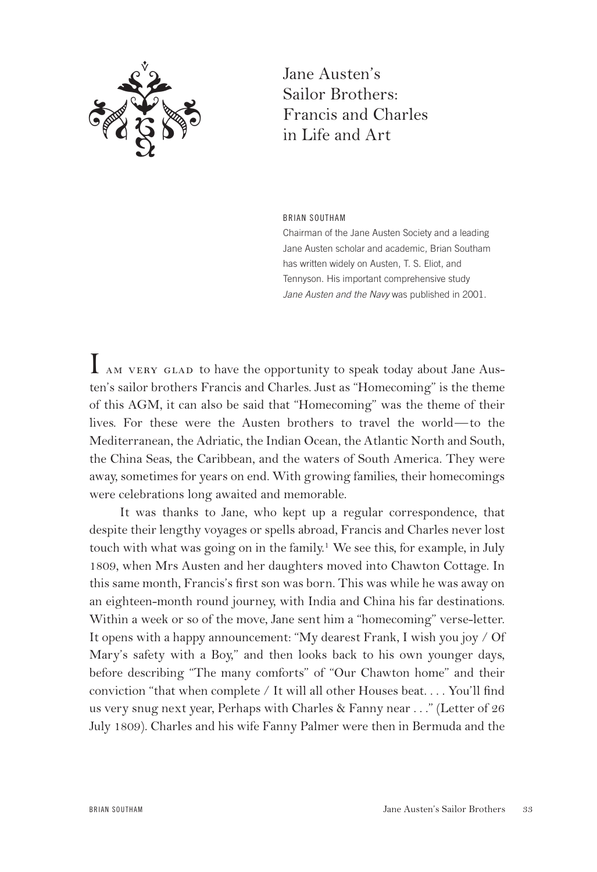

Jane Austen's Sailor Brothers: Francis and Charles in Life and Art

BRIAN SOUTHAM

Chairman of the Jane Austen Society and a leading Jane Austen scholar and academic, Brian Southam has written widely on Austen, T. S. Eliot, and Tennyson. His important comprehensive study *Jane Austen and the Navy* was published in 2001.

I AM VERY GLAD to have the opportunity to speak today about Jane Austen's sailor brothers Francis and Charles. Just as "Homecoming" is the theme of this AGM, it can also be said that "Homecoming" was the theme of their lives. For these were the Austen brothers to travel the world—to the Mediterranean, the Adriatic, the Indian Ocean, the Atlantic North and South, the China Seas, the Caribbean, and the waters of South America. They were away, sometimes for years on end. With growing families, their homecomings were celebrations long awaited and memorable.

It was thanks to Jane, who kept up a regular correspondence, that despite their lengthy voyages or spells abroad, Francis and Charles never lost touch with what was going on in the family.1 We see this, for example, in July 1809, when Mrs Austen and her daughters moved into Chawton Cottage. In this same month, Francis's first son was born. This was while he was away on an eighteen-month round journey, with India and China his far destinations. Within a week or so of the move, Jane sent him a "homecoming" verse-letter. It opens with a happy announcement: "My dearest Frank, I wish you joy / Of Mary's safety with a Boy," and then looks back to his own younger days, before describing "The many comforts" of "Our Chawton home" and their conviction "that when complete / It will all other Houses beat. . . . You'll find us very snug next year, Perhaps with Charles & Fanny near . . ." (Letter of 26 July 1809). Charles and his wife Fanny Palmer were then in Bermuda and the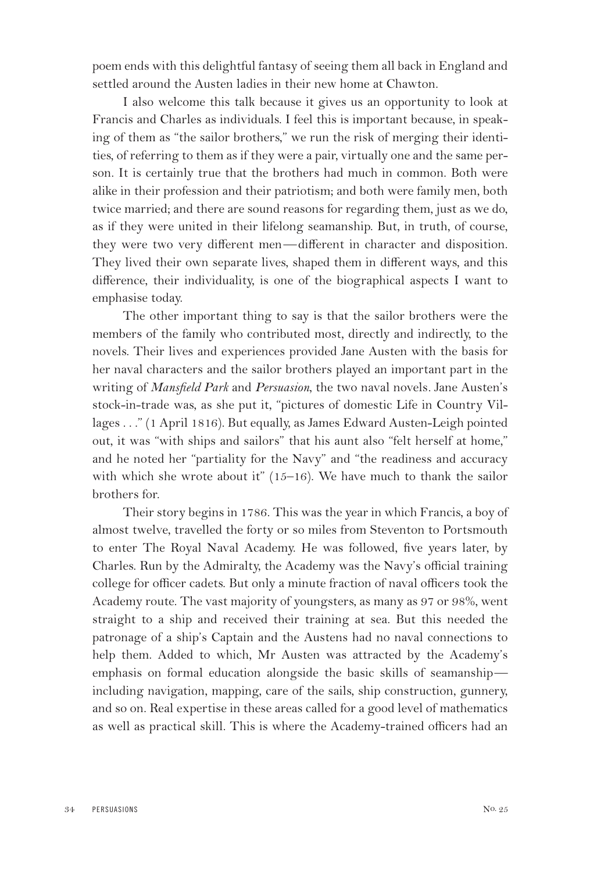poem ends with this delightful fantasy of seeing them all back in England and settled around the Austen ladies in their new home at Chawton.

I also welcome this talk because it gives us an opportunity to look at Francis and Charles as individuals. I feel this is important because, in speaking of them as "the sailor brothers," we run the risk of merging their identities, of referring to them as if they were a pair, virtually one and the same person. It is certainly true that the brothers had much in common. Both were alike in their profession and their patriotism; and both were family men, both twice married; and there are sound reasons for regarding them, just as we do, as if they were united in their lifelong seamanship. But, in truth, of course, they were two very different men—different in character and disposition. They lived their own separate lives, shaped them in different ways, and this difference, their individuality, is one of the biographical aspects I want to emphasise today.

The other important thing to say is that the sailor brothers were the members of the family who contributed most, directly and indirectly, to the novels. Their lives and experiences provided Jane Austen with the basis for her naval characters and the sailor brothers played an important part in the writing of *Mansfield Park* and *Persuasion*, the two naval novels*.* Jane Austen's stock-in-trade was, as she put it, "pictures of domestic Life in Country Villages . . ." (1 April 1816). But equally, as James Edward Austen-Leigh pointed out, it was "with ships and sailors" that his aunt also "felt herself at home," and he noted her "partiality for the Navy" and "the readiness and accuracy with which she wrote about it"  $(15-16)$ . We have much to thank the sailor brothers for.

Their story begins in 1786. This was the year in which Francis, a boy of almost twelve, travelled the forty or so miles from Steventon to Portsmouth to enter The Royal Naval Academy. He was followed, five years later, by Charles. Run by the Admiralty, the Academy was the Navy's official training college for officer cadets. But only a minute fraction of naval officers took the Academy route. The vast majority of youngsters, as many as 97 or 98%, went straight to a ship and received their training at sea. But this needed the patronage of a ship's Captain and the Austens had no naval connections to help them. Added to which, Mr Austen was attracted by the Academy's emphasis on formal education alongside the basic skills of seamanship including navigation, mapping, care of the sails, ship construction, gunnery, and so on. Real expertise in these areas called for a good level of mathematics as well as practical skill. This is where the Academy-trained officers had an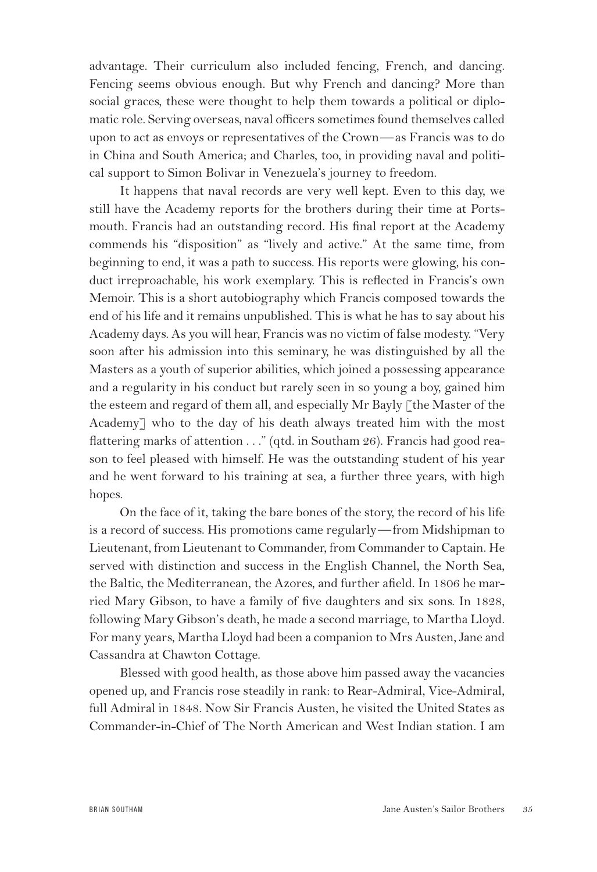advantage. Their curriculum also included fencing, French, and dancing. Fencing seems obvious enough. But why French and dancing? More than social graces, these were thought to help them towards a political or diplomatic role. Serving overseas, naval officers sometimes found themselves called upon to act as envoys or representatives of the Crown—as Francis was to do in China and South America; and Charles, too, in providing naval and political support to Simon Bolivar in Venezuela's journey to freedom.

It happens that naval records are very well kept. Even to this day, we still have the Academy reports for the brothers during their time at Portsmouth. Francis had an outstanding record. His final report at the Academy commends his "disposition" as "lively and active." At the same time, from beginning to end, it was a path to success. His reports were glowing, his conduct irreproachable, his work exemplary. This is reflected in Francis's own Memoir. This is a short autobiography which Francis composed towards the end of his life and it remains unpublished. This is what he has to say about his Academy days. As you will hear, Francis was no victim of false modesty. "Very soon after his admission into this seminary, he was distinguished by all the Masters as a youth of superior abilities, which joined a possessing appearance and a regularity in his conduct but rarely seen in so young a boy, gained him the esteem and regard of them all, and especially Mr Bayly [the Master of the Academy] who to the day of his death always treated him with the most flattering marks of attention . . ." (qtd. in Southam 26). Francis had good reason to feel pleased with himself. He was the outstanding student of his year and he went forward to his training at sea, a further three years, with high hopes.

On the face of it, taking the bare bones of the story, the record of his life is a record of success. His promotions came regularly—from Midshipman to Lieutenant, from Lieutenant to Commander, from Commander to Captain. He served with distinction and success in the English Channel, the North Sea, the Baltic, the Mediterranean, the Azores, and further afield. In 1806 he married Mary Gibson, to have a family of five daughters and six sons. In 1828, following Mary Gibson's death, he made a second marriage, to Martha Lloyd. For many years, Martha Lloyd had been a companion to Mrs Austen, Jane and Cassandra at Chawton Cottage.

Blessed with good health, as those above him passed away the vacancies opened up, and Francis rose steadily in rank: to Rear-Admiral, Vice-Admiral, full Admiral in 1848. Now Sir Francis Austen, he visited the United States as Commander-in-Chief of The North American and West Indian station. I am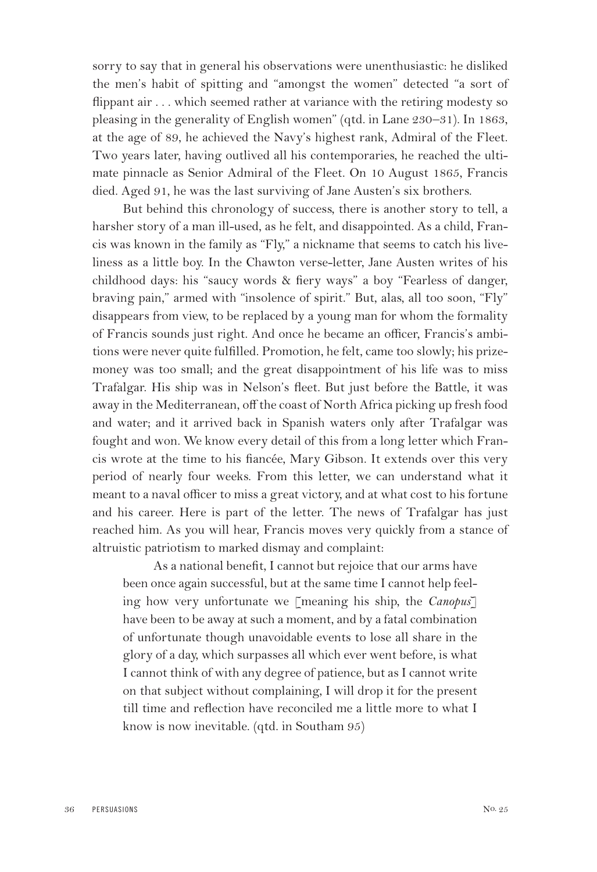sorry to say that in general his observations were unenthusiastic: he disliked the men's habit of spitting and "amongst the women" detected "a sort of flippant air . . . which seemed rather at variance with the retiring modesty so pleasing in the generality of English women" (qtd. in Lane 230–31). In 1863, at the age of 89, he achieved the Navy's highest rank, Admiral of the Fleet. Two years later, having outlived all his contemporaries, he reached the ultimate pinnacle as Senior Admiral of the Fleet. On 10 August 1865, Francis died. Aged 91, he was the last surviving of Jane Austen's six brothers.

But behind this chronology of success, there is another story to tell, a harsher story of a man ill-used, as he felt, and disappointed. As a child, Francis was known in the family as "Fly," a nickname that seems to catch his liveliness as a little boy. In the Chawton verse-letter, Jane Austen writes of his childhood days: his "saucy words & fiery ways" a boy "Fearless of danger, braving pain," armed with "insolence of spirit." But, alas, all too soon, "Fly" disappears from view, to be replaced by a young man for whom the formality of Francis sounds just right. And once he became an officer, Francis's ambitions were never quite fulfilled. Promotion, he felt, came too slowly; his prizemoney was too small; and the great disappointment of his life was to miss Trafalgar. His ship was in Nelson's fleet. But just before the Battle, it was away in the Mediterranean, off the coast of North Africa picking up fresh food and water; and it arrived back in Spanish waters only after Trafalgar was fought and won. We know every detail of this from a long letter which Francis wrote at the time to his fiancée, Mary Gibson. It extends over this very period of nearly four weeks. From this letter, we can understand what it meant to a naval officer to miss a great victory, and at what cost to his fortune and his career. Here is part of the letter. The news of Trafalgar has just reached him. As you will hear, Francis moves very quickly from a stance of altruistic patriotism to marked dismay and complaint:

As a national benefit, I cannot but rejoice that our arms have been once again successful, but at the same time I cannot help feeling how very unfortunate we [meaning his ship, the *Canopus*] have been to be away at such a moment, and by a fatal combination of unfortunate though unavoidable events to lose all share in the glory of a day, which surpasses all which ever went before, is what I cannot think of with any degree of patience, but as I cannot write on that subject without complaining, I will drop it for the present till time and reflection have reconciled me a little more to what I know is now inevitable. (qtd. in Southam 95)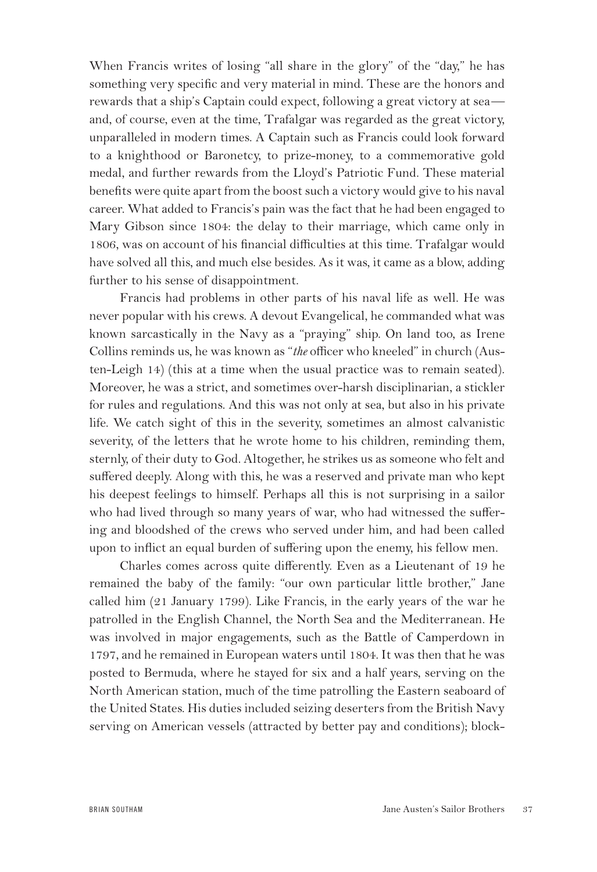When Francis writes of losing "all share in the glory" of the "day," he has something very specific and very material in mind. These are the honors and rewards that a ship's Captain could expect, following a great victory at sea and, of course, even at the time, Trafalgar was regarded as the great victory, unparalleled in modern times. A Captain such as Francis could look forward to a knighthood or Baronetcy, to prize-money, to a commemorative gold medal, and further rewards from the Lloyd's Patriotic Fund. These material benefits were quite apart from the boost such a victory would give to his naval career. What added to Francis's pain was the fact that he had been engaged to Mary Gibson since 1804: the delay to their marriage, which came only in 1806, was on account of his financial difficulties at this time. Trafalgar would have solved all this, and much else besides. As it was, it came as a blow, adding further to his sense of disappointment.

Francis had problems in other parts of his naval life as well. He was never popular with his crews. A devout Evangelical, he commanded what was known sarcastically in the Navy as a "praying" ship. On land too, as Irene Collins reminds us, he was known as "*the* officer who kneeled" in church (Austen-Leigh 14) (this at a time when the usual practice was to remain seated). Moreover, he was a strict, and sometimes over-harsh disciplinarian, a stickler for rules and regulations. And this was not only at sea, but also in his private life. We catch sight of this in the severity, sometimes an almost calvanistic severity, of the letters that he wrote home to his children, reminding them, sternly, of their duty to God. Altogether, he strikes us as someone who felt and suffered deeply. Along with this, he was a reserved and private man who kept his deepest feelings to himself. Perhaps all this is not surprising in a sailor who had lived through so many years of war, who had witnessed the suffering and bloodshed of the crews who served under him, and had been called upon to inflict an equal burden of suffering upon the enemy, his fellow men.

Charles comes across quite differently. Even as a Lieutenant of 19 he remained the baby of the family: "our own particular little brother," Jane called him (21 January 1799). Like Francis, in the early years of the war he patrolled in the English Channel, the North Sea and the Mediterranean. He was involved in major engagements, such as the Battle of Camperdown in 1797, and he remained in European waters until 1804. It was then that he was posted to Bermuda, where he stayed for six and a half years, serving on the North American station, much of the time patrolling the Eastern seaboard of the United States. His duties included seizing deserters from the British Navy serving on American vessels (attracted by better pay and conditions); block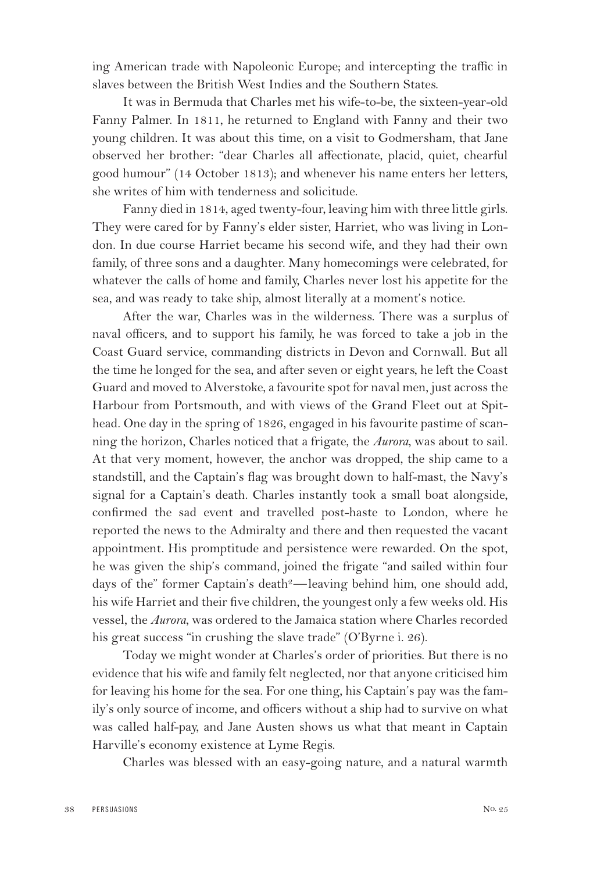ing American trade with Napoleonic Europe; and intercepting the traffic in slaves between the British West Indies and the Southern States.

It was in Bermuda that Charles met his wife-to-be, the sixteen-year-old Fanny Palmer. In 1811, he returned to England with Fanny and their two young children. It was about this time, on a visit to Godmersham, that Jane observed her brother: "dear Charles all affectionate, placid, quiet, chearful good humour" (14 October 1813); and whenever his name enters her letters, she writes of him with tenderness and solicitude.

Fanny died in 1814, aged twenty-four, leaving him with three little girls. They were cared for by Fanny's elder sister, Harriet, who was living in London. In due course Harriet became his second wife, and they had their own family, of three sons and a daughter. Many homecomings were celebrated, for whatever the calls of home and family, Charles never lost his appetite for the sea, and was ready to take ship, almost literally at a moment's notice.

After the war, Charles was in the wilderness. There was a surplus of naval officers, and to support his family, he was forced to take a job in the Coast Guard service, commanding districts in Devon and Cornwall. But all the time he longed for the sea, and after seven or eight years, he left the Coast Guard and moved to Alverstoke, a favourite spot for naval men, just across the Harbour from Portsmouth, and with views of the Grand Fleet out at Spithead. One day in the spring of 1826, engaged in his favourite pastime of scanning the horizon, Charles noticed that a frigate, the *Aurora*, was about to sail. At that very moment, however, the anchor was dropped, the ship came to a standstill, and the Captain's flag was brought down to half-mast, the Navy's signal for a Captain's death. Charles instantly took a small boat alongside, confirmed the sad event and travelled post-haste to London, where he reported the news to the Admiralty and there and then requested the vacant appointment. His promptitude and persistence were rewarded. On the spot, he was given the ship's command, joined the frigate "and sailed within four days of the" former Captain's death<sup>2</sup>—leaving behind him, one should add, his wife Harriet and their five children, the youngest only a few weeks old. His vessel, the *Aurora*, was ordered to the Jamaica station where Charles recorded his great success "in crushing the slave trade" (O'Byrne i. 26).

Today we might wonder at Charles's order of priorities. But there is no evidence that his wife and family felt neglected, nor that anyone criticised him for leaving his home for the sea. For one thing, his Captain's pay was the family's only source of income, and officers without a ship had to survive on what was called half-pay, and Jane Austen shows us what that meant in Captain Harville's economy existence at Lyme Regis.

Charles was blessed with an easy-going nature, and a natural warmth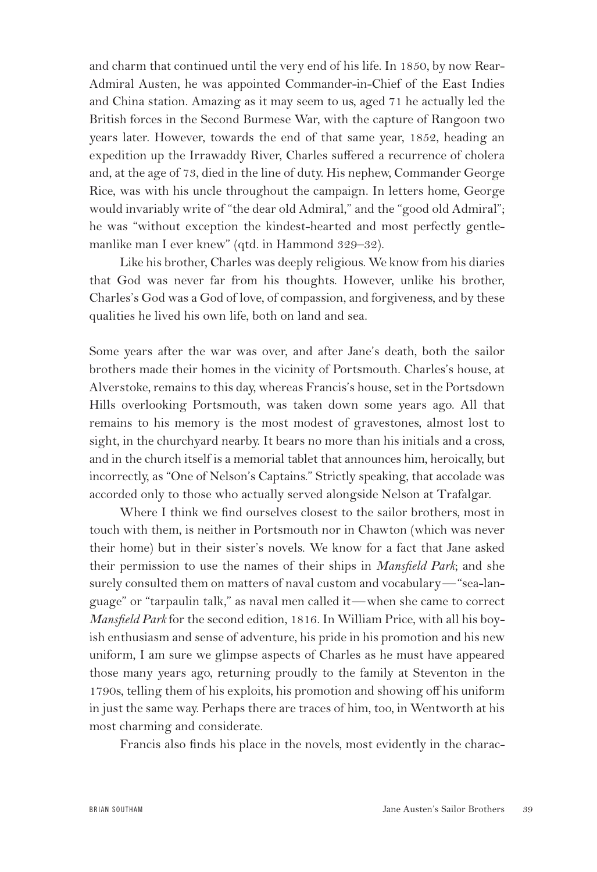and charm that continued until the very end of his life. In 1850, by now Rear-Admiral Austen, he was appointed Commander-in-Chief of the East Indies and China station. Amazing as it may seem to us, aged 71 he actually led the British forces in the Second Burmese War, with the capture of Rangoon two years later. However, towards the end of that same year, 1852, heading an expedition up the Irrawaddy River, Charles suffered a recurrence of cholera and, at the age of 73, died in the line of duty. His nephew, Commander George Rice, was with his uncle throughout the campaign. In letters home, George would invariably write of "the dear old Admiral," and the "good old Admiral"; he was "without exception the kindest-hearted and most perfectly gentlemanlike man I ever knew" (qtd. in Hammond 329–32).

Like his brother, Charles was deeply religious. We know from his diaries that God was never far from his thoughts. However, unlike his brother, Charles's God was a God of love, of compassion, and forgiveness, and by these qualities he lived his own life, both on land and sea.

Some years after the war was over, and after Jane's death, both the sailor brothers made their homes in the vicinity of Portsmouth. Charles's house, at Alverstoke, remains to this day, whereas Francis's house, set in the Portsdown Hills overlooking Portsmouth, was taken down some years ago. All that remains to his memory is the most modest of gravestones, almost lost to sight, in the churchyard nearby. It bears no more than his initials and a cross, and in the church itself is a memorial tablet that announces him, heroically, but incorrectly, as "One of Nelson's Captains." Strictly speaking, that accolade was accorded only to those who actually served alongside Nelson at Trafalgar.

Where I think we find ourselves closest to the sailor brothers, most in touch with them, is neither in Portsmouth nor in Chawton (which was never their home) but in their sister's novels. We know for a fact that Jane asked their permission to use the names of their ships in *Mansfield Park*; and she surely consulted them on matters of naval custom and vocabulary—"sea-language" or "tarpaulin talk," as naval men called it—when she came to correct *Mansfield Park* for the second edition, 1816. In William Price, with all his boyish enthusiasm and sense of adventure, his pride in his promotion and his new uniform, I am sure we glimpse aspects of Charles as he must have appeared those many years ago, returning proudly to the family at Steventon in the 1790s, telling them of his exploits, his promotion and showing off his uniform in just the same way. Perhaps there are traces of him, too, in Wentworth at his most charming and considerate.

Francis also finds his place in the novels, most evidently in the charac-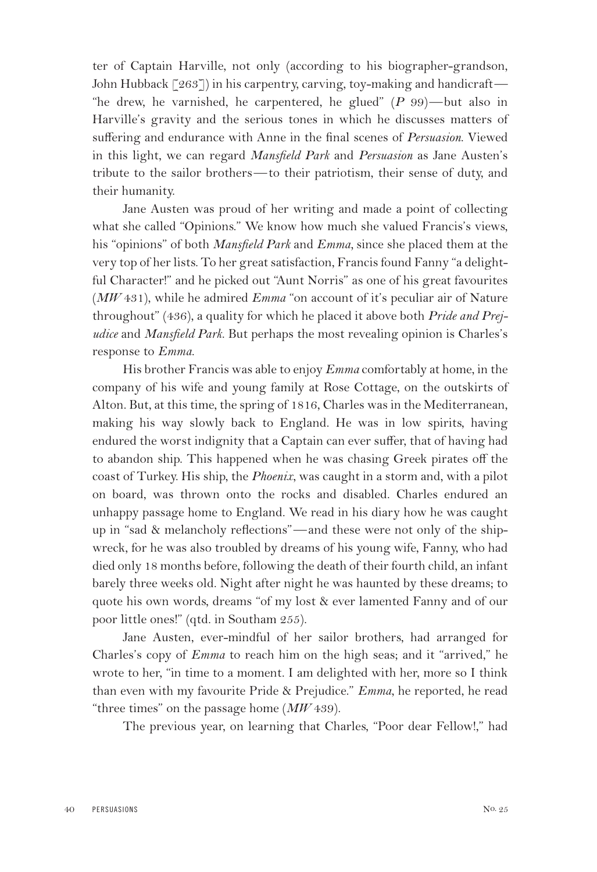ter of Captain Harville, not only (according to his biographer-grandson, John Hubback [263]) in his carpentry, carving, toy-making and handicraft— "he drew, he varnished, he carpentered, he glued" (*P* 99)—but also in Harville's gravity and the serious tones in which he discusses matters of suffering and endurance with Anne in the final scenes of *Persuasion*. Viewed in this light, we can regard *Mansfield Park* and *Persuasion* as Jane Austen's tribute to the sailor brothers—to their patriotism, their sense of duty, and their humanity.

Jane Austen was proud of her writing and made a point of collecting what she called "Opinions." We know how much she valued Francis's views, his "opinions" of both *Mansfield Park* and *Emma,* since she placed them at the very top of her lists. To her great satisfaction, Francis found Fanny "a delightful Character!" and he picked out "Aunt Norris" as one of his great favourites (*MW* 431), while he admired *Emma* "on account of it's peculiar air of Nature throughout" (436), a quality for which he placed it above both *Pride and Prejudice* and *Mansfield Park*. But perhaps the most revealing opinion is Charles's response to *Emma*.

His brother Francis was able to enjoy *Emma* comfortably at home, in the company of his wife and young family at Rose Cottage, on the outskirts of Alton. But, at this time, the spring of 1816, Charles was in the Mediterranean, making his way slowly back to England. He was in low spirits, having endured the worst indignity that a Captain can ever suffer, that of having had to abandon ship. This happened when he was chasing Greek pirates off the coast of Turkey. His ship, the *Phoenix*, was caught in a storm and, with a pilot on board, was thrown onto the rocks and disabled. Charles endured an unhappy passage home to England. We read in his diary how he was caught up in "sad & melancholy reflections"—and these were not only of the shipwreck, for he was also troubled by dreams of his young wife, Fanny, who had died only 18 months before, following the death of their fourth child, an infant barely three weeks old. Night after night he was haunted by these dreams; to quote his own words, dreams "of my lost & ever lamented Fanny and of our poor little ones!" (qtd. in Southam 255).

Jane Austen, ever-mindful of her sailor brothers, had arranged for Charles's copy of *Emma* to reach him on the high seas; and it "arrived," he wrote to her, "in time to a moment. I am delighted with her, more so I think than even with my favourite Pride & Prejudice." *Emma*, he reported, he read "three times" on the passage home (*MW* 439).

The previous year, on learning that Charles, "Poor dear Fellow!," had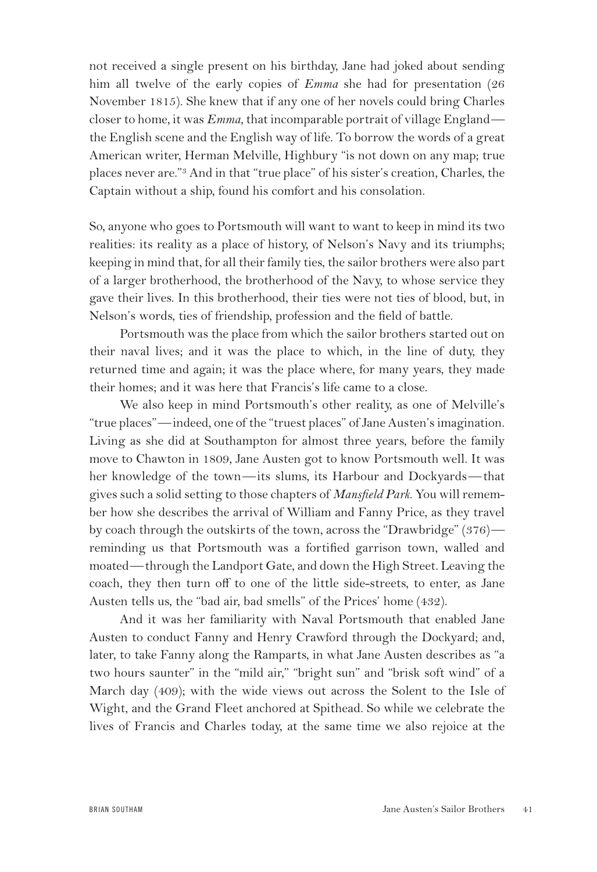not received a single present on his birthday, Jane had joked about sending him all twelve of the early copies of *Emma* she had for presentation (26 November 1815). She knew that if any one of her novels could bring Charles closer to home, it was *Emma*, that incomparable portrait of village England the English scene and the English way of life. To borrow the words of a great American writer, Herman Melville, Highbury "is not down on any map; true places never are."3 And in that "true place" of his sister's creation, Charles, the Captain without a ship, found his comfort and his consolation.

So, anyone who goes to Portsmouth will want to want to keep in mind its two realities: its reality as a place of history, of Nelson's Navy and its triumphs; keeping in mind that, for all their family ties, the sailor brothers were also part of a larger brotherhood, the brotherhood of the Navy, to whose service they gave their lives. In this brotherhood, their ties were not ties of blood, but, in Nelson's words, ties of friendship, profession and the field of battle.

Portsmouth was the place from which the sailor brothers started out on their naval lives; and it was the place to which, in the line of duty, they returned time and again; it was the place where, for many years, they made their homes; and it was here that Francis's life came to a close.

We also keep in mind Portsmouth's other reality, as one of Melville's "true places"—indeed, one of the "truest places" of Jane Austen's imagination. Living as she did at Southampton for almost three years, before the family move to Chawton in 1809, Jane Austen got to know Portsmouth well. It was her knowledge of the town—its slums, its Harbour and Dockyards—that gives such a solid setting to those chapters of *Mansfield Park*. You will remember how she describes the arrival of William and Fanny Price, as they travel by coach through the outskirts of the town, across the "Drawbridge" (376) reminding us that Portsmouth was a fortified garrison town, walled and moated—through the Landport Gate, and down the High Street. Leaving the coach, they then turn off to one of the little side-streets, to enter, as Jane Austen tells us, the "bad air, bad smells" of the Prices' home (432).

And it was her familiarity with Naval Portsmouth that enabled Jane Austen to conduct Fanny and Henry Crawford through the Dockyard; and, later, to take Fanny along the Ramparts, in what Jane Austen describes as "a two hours saunter" in the "mild air," "bright sun" and "brisk soft wind" of a March day (409); with the wide views out across the Solent to the Isle of Wight, and the Grand Fleet anchored at Spithead. So while we celebrate the lives of Francis and Charles today, at the same time we also rejoice at the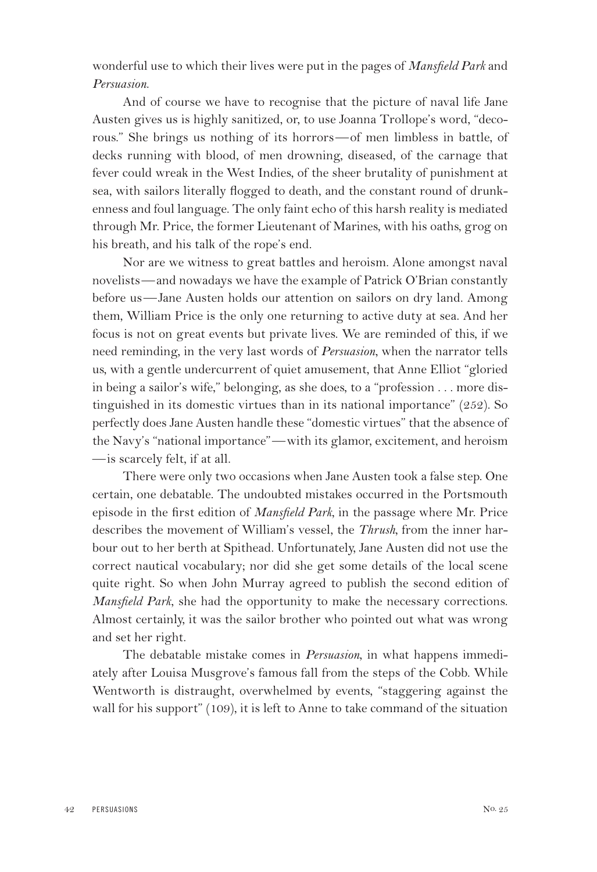wonderful use to which their lives were put in the pages of *Mansfield Park* and *Persuasion*.

And of course we have to recognise that the picture of naval life Jane Austen gives us is highly sanitized, or, to use Joanna Trollope's word, "decorous." She brings us nothing of its horrors—of men limbless in battle, of decks running with blood, of men drowning, diseased, of the carnage that fever could wreak in the West Indies, of the sheer brutality of punishment at sea, with sailors literally flogged to death, and the constant round of drunkenness and foul language. The only faint echo of this harsh reality is mediated through Mr. Price, the former Lieutenant of Marines, with his oaths, grog on his breath, and his talk of the rope's end.

Nor are we witness to great battles and heroism. Alone amongst naval novelists—and nowadays we have the example of Patrick O'Brian constantly before us—Jane Austen holds our attention on sailors on dry land. Among them, William Price is the only one returning to active duty at sea. And her focus is not on great events but private lives. We are reminded of this, if we need reminding, in the very last words of *Persuasion*, when the narrator tells us, with a gentle undercurrent of quiet amusement, that Anne Elliot "gloried in being a sailor's wife," belonging, as she does, to a "profession . . . more distinguished in its domestic virtues than in its national importance" (252). So perfectly does Jane Austen handle these "domestic virtues" that the absence of the Navy's "national importance"—with its glamor, excitement, and heroism —is scarcely felt, if at all.

There were only two occasions when Jane Austen took a false step. One certain, one debatable. The undoubted mistakes occurred in the Portsmouth episode in the first edition of *Mansfield Park*, in the passage where Mr. Price describes the movement of William's vessel, the *Thrush*, from the inner harbour out to her berth at Spithead. Unfortunately, Jane Austen did not use the correct nautical vocabulary; nor did she get some details of the local scene quite right. So when John Murray agreed to publish the second edition of *Mansfield Park*, she had the opportunity to make the necessary corrections. Almost certainly, it was the sailor brother who pointed out what was wrong and set her right.

The debatable mistake comes in *Persuasion*, in what happens immediately after Louisa Musgrove's famous fall from the steps of the Cobb. While Wentworth is distraught, overwhelmed by events, "staggering against the wall for his support" (109), it is left to Anne to take command of the situation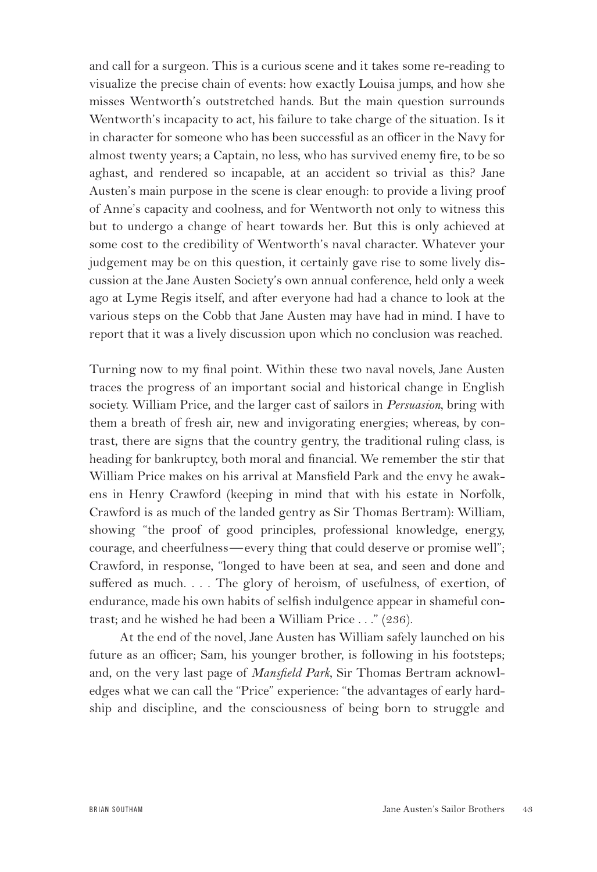and call for a surgeon. This is a curious scene and it takes some re-reading to visualize the precise chain of events: how exactly Louisa jumps, and how she misses Wentworth's outstretched hands. But the main question surrounds Wentworth's incapacity to act, his failure to take charge of the situation. Is it in character for someone who has been successful as an officer in the Navy for almost twenty years; a Captain, no less, who has survived enemy fire, to be so aghast, and rendered so incapable, at an accident so trivial as this? Jane Austen's main purpose in the scene is clear enough: to provide a living proof of Anne's capacity and coolness, and for Wentworth not only to witness this but to undergo a change of heart towards her. But this is only achieved at some cost to the credibility of Wentworth's naval character. Whatever your judgement may be on this question, it certainly gave rise to some lively discussion at the Jane Austen Society's own annual conference, held only a week ago at Lyme Regis itself, and after everyone had had a chance to look at the various steps on the Cobb that Jane Austen may have had in mind. I have to report that it was a lively discussion upon which no conclusion was reached.

Turning now to my final point. Within these two naval novels, Jane Austen traces the progress of an important social and historical change in English society. William Price, and the larger cast of sailors in *Persuasion*, bring with them a breath of fresh air, new and invigorating energies; whereas, by contrast, there are signs that the country gentry, the traditional ruling class, is heading for bankruptcy, both moral and financial. We remember the stir that William Price makes on his arrival at Mansfield Park and the envy he awakens in Henry Crawford (keeping in mind that with his estate in Norfolk, Crawford is as much of the landed gentry as Sir Thomas Bertram): William, showing "the proof of good principles, professional knowledge, energy, courage, and cheerfulness—every thing that could deserve or promise well"; Crawford, in response, "longed to have been at sea, and seen and done and suffered as much. . . . The glory of heroism, of usefulness, of exertion, of endurance, made his own habits of selfish indulgence appear in shameful contrast; and he wished he had been a William Price . . ." (236).

At the end of the novel, Jane Austen has William safely launched on his future as an officer; Sam, his younger brother, is following in his footsteps; and, on the very last page of *Mansfield Park*, Sir Thomas Bertram acknowledges what we can call the "Price" experience: "the advantages of early hardship and discipline, and the consciousness of being born to struggle and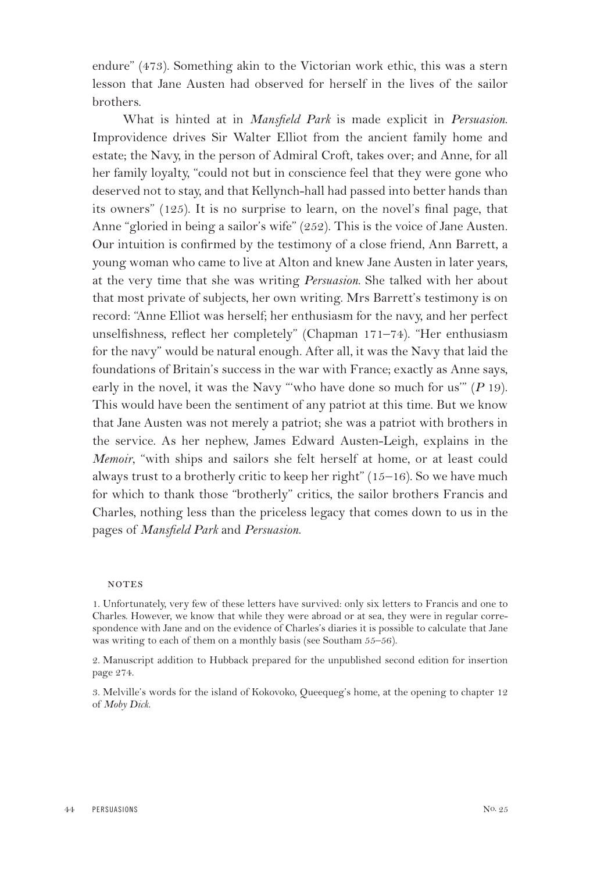endure" (473). Something akin to the Victorian work ethic, this was a stern lesson that Jane Austen had observed for herself in the lives of the sailor brothers.

What is hinted at in *Mansfield Park* is made explicit in *Persuasion*. Improvidence drives Sir Walter Elliot from the ancient family home and estate; the Navy, in the person of Admiral Croft, takes over; and Anne, for all her family loyalty, "could not but in conscience feel that they were gone who deserved not to stay, and that Kellynch-hall had passed into better hands than its owners" (125). It is no surprise to learn, on the novel's final page, that Anne "gloried in being a sailor's wife" (252). This is the voice of Jane Austen. Our intuition is confirmed by the testimony of a close friend, Ann Barrett, a young woman who came to live at Alton and knew Jane Austen in later years, at the very time that she was writing *Persuasion*. She talked with her about that most private of subjects, her own writing. Mrs Barrett's testimony is on record: "Anne Elliot was herself; her enthusiasm for the navy, and her perfect unselfishness, reflect her completely" (Chapman 171–74). "Her enthusiasm for the navy" would be natural enough. After all, it was the Navy that laid the foundations of Britain's success in the war with France; exactly as Anne says, early in the novel, it was the Navy "'who have done so much for us'" (*P* 19). This would have been the sentiment of any patriot at this time. But we know that Jane Austen was not merely a patriot; she was a patriot with brothers in the service. As her nephew, James Edward Austen-Leigh, explains in the *Memoir*, "with ships and sailors she felt herself at home, or at least could always trust to a brotherly critic to keep her right" (15–16). So we have much for which to thank those "brotherly" critics, the sailor brothers Francis and Charles, nothing less than the priceless legacy that comes down to us in the pages of *Mansfield Park* and *Persuasion*.

## **NOTES**

1. Unfortunately, very few of these letters have survived: only six letters to Francis and one to Charles. However, we know that while they were abroad or at sea, they were in regular correspondence with Jane and on the evidence of Charles's diaries it is possible to calculate that Jane was writing to each of them on a monthly basis (see Southam 55–56).

2. Manuscript addition to Hubback prepared for the unpublished second edition for insertion page 274.

3. Melville's words for the island of Kokovoko, Queequeg's home, at the opening to chapter 12 of *Moby Dick*.